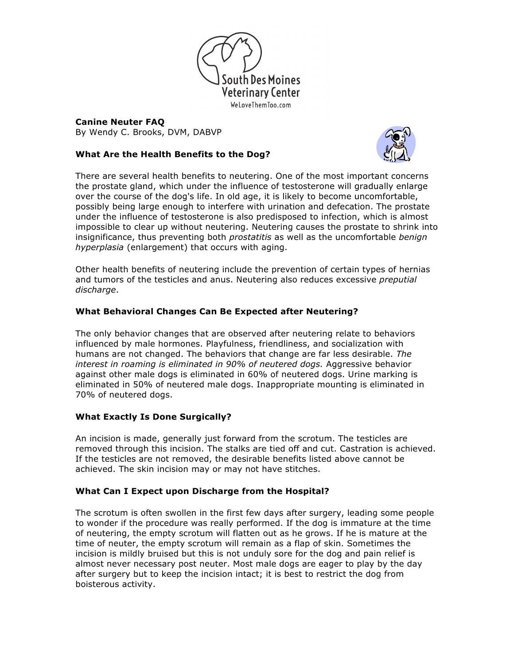

**Canine Neuter FAQ** By Wendy C. Brooks, DVM, DABVP

## **What Are the Health Benefits to the Dog?**



There are several health benefits to neutering. One of the most important concerns the prostate gland, which under the influence of testosterone will gradually enlarge over the course of the dog's life. In old age, it is likely to become uncomfortable, possibly being large enough to interfere with urination and defecation. The prostate under the influence of testosterone is also predisposed to infection, which is almost impossible to clear up without neutering. Neutering causes the prostate to shrink into insignificance, thus preventing both *prostatitis* as well as the uncomfortable *benign hyperplasia* (enlargement) that occurs with aging.

Other health benefits of neutering include the prevention of certain types of hernias and tumors of the testicles and anus. Neutering also reduces excessive *preputial discharge*.

## **What Behavioral Changes Can Be Expected after Neutering?**

The only behavior changes that are observed after neutering relate to behaviors influenced by male hormones. Playfulness, friendliness, and socialization with humans are not changed. The behaviors that change are far less desirable. *The interest in roaming is eliminated in 90% of neutered dogs.* Aggressive behavior against other male dogs is eliminated in 60% of neutered dogs. Urine marking is eliminated in 50% of neutered male dogs. Inappropriate mounting is eliminated in 70% of neutered dogs.

#### **What Exactly Is Done Surgically?**

An incision is made, generally just forward from the scrotum. The testicles are removed through this incision. The stalks are tied off and cut. Castration is achieved. If the testicles are not removed, the desirable benefits listed above cannot be achieved. The skin incision may or may not have stitches.

#### **What Can I Expect upon Discharge from the Hospital?**

The scrotum is often swollen in the first few days after surgery, leading some people to wonder if the procedure was really performed. If the dog is immature at the time of neutering, the empty scrotum will flatten out as he grows. If he is mature at the time of neuter, the empty scrotum will remain as a flap of skin. Sometimes the incision is mildly bruised but this is not unduly sore for the dog and pain relief is almost never necessary post neuter. Most male dogs are eager to play by the day after surgery but to keep the incision intact; it is best to restrict the dog from boisterous activity.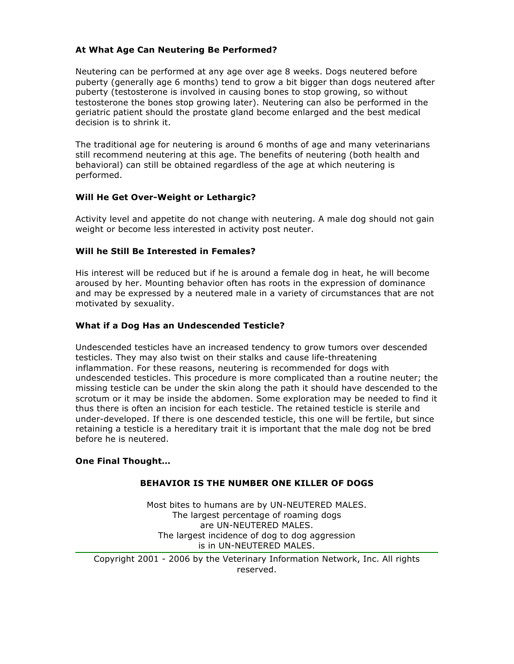#### **At What Age Can Neutering Be Performed?**

Neutering can be performed at any age over age 8 weeks. Dogs neutered before puberty (generally age 6 months) tend to grow a bit bigger than dogs neutered after puberty (testosterone is involved in causing bones to stop growing, so without testosterone the bones stop growing later). Neutering can also be performed in the geriatric patient should the prostate gland become enlarged and the best medical decision is to shrink it.

The traditional age for neutering is around 6 months of age and many veterinarians still recommend neutering at this age. The benefits of neutering (both health and behavioral) can still be obtained regardless of the age at which neutering is performed.

## **Will He Get Over-Weight or Lethargic?**

Activity level and appetite do not change with neutering. A male dog should not gain weight or become less interested in activity post neuter.

#### **Will he Still Be Interested in Females?**

His interest will be reduced but if he is around a female dog in heat, he will become aroused by her. Mounting behavior often has roots in the expression of dominance and may be expressed by a neutered male in a variety of circumstances that are not motivated by sexuality.

## **What if a Dog Has an Undescended Testicle?**

Undescended testicles have an increased tendency to grow tumors over descended testicles. They may also twist on their stalks and cause life-threatening inflammation. For these reasons, neutering is recommended for dogs with undescended testicles. This procedure is more complicated than a routine neuter; the missing testicle can be under the skin along the path it should have descended to the scrotum or it may be inside the abdomen. Some exploration may be needed to find it thus there is often an incision for each testicle. The retained testicle is sterile and under-developed. If there is one descended testicle, this one will be fertile, but since retaining a testicle is a hereditary trait it is important that the male dog not be bred before he is neutered.

#### **One Final Thought…**

#### **BEHAVIOR IS THE NUMBER ONE KILLER OF DOGS**

Most bites to humans are by UN-NEUTERED MALES. The largest percentage of roaming dogs are UN-NEUTERED MALES. The largest incidence of dog to dog aggression is in UN-NEUTERED MALES.

Copyright 2001 - 2006 by the Veterinary Information Network, Inc. All rights reserved.